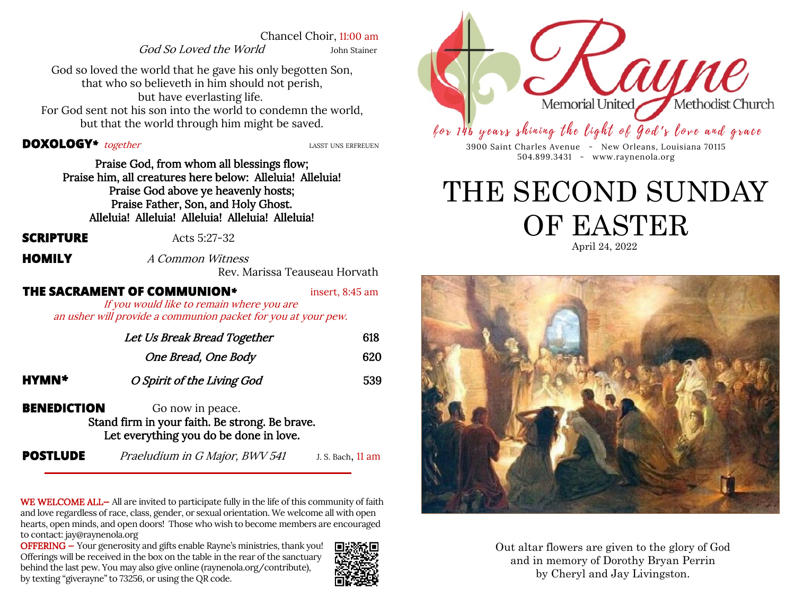Chancel Choir, 11:00 am

God So Loved the World John Stainer

God so loved the world that he gave his only begotten Son, that who so believeth in him should not perish, but have everlasting life. For God sent not his son into the world to condemn the world, but that the world through him might be saved.

#### **DOXOLOGY**<sup>\*</sup> together *LASST UNS ERFREUEN*

Praise God, from whom all blessings flow; Praise him, all creatures here below: Alleluia! Alleluia! Praise God above ye heavenly hosts; Praise Father, Son, and Holy Ghost. Alleluia! Alleluia! Alleluia! Alleluia! Alleluia!

**SCRIPTURE**  $\text{Acts } 5:27-32$ 

**HOMILY** *A Common Witness* 

Rev. Marissa Teauseau Horvath

**THE SACRAMENT OF COMMUNION***\** insert, 8:45 am

If you would like to remain where you are an usher will provide a communion packet for you at your pew.

|                    | Let Us Break Bread Together                                                                                  | 618 |
|--------------------|--------------------------------------------------------------------------------------------------------------|-----|
|                    | One Bread, One Body                                                                                          | 620 |
| HYMN*              | O Spirit of the Living God                                                                                   | 539 |
| <b>BENEDICTION</b> | Go now in peace.<br>Stand firm in your faith. Be strong. Be brave.<br>Let everything you do be done in love. |     |

**POSTLUDE** *Praeludium in G Major, BWV 541* J. S. Bach, 11 am

WE WELCOME ALL- All are invited to participate fully in the life of this community of faith and love regardless of race, class, gender, or sexual orientation. We welcome all with open hearts, open minds, and open doors! Those who wish to become members are encouraged to contact: jay@raynenola.org

OFFERING — Your generosity and gifts enable Rayne's ministries, thank you! Offerings will be received in the box on the table in the rear of the sanctuary behind the last pew. You may also give online (raynenola.org/contribute), by texting "giverayne" to 73256, or using the QR code.





for 146 years shining the light of God's love and grace

3900 Saint Charles Avenue - New Orleans, Louisiana 70115 504.899.3431 - www.raynenola.org

## April 24, 2022 THE SECOND SUNDAY OF EASTER



Out altar flowers are given to the glory of God and in memory of Dorothy Bryan Perrin by Cheryl and Jay Livingston.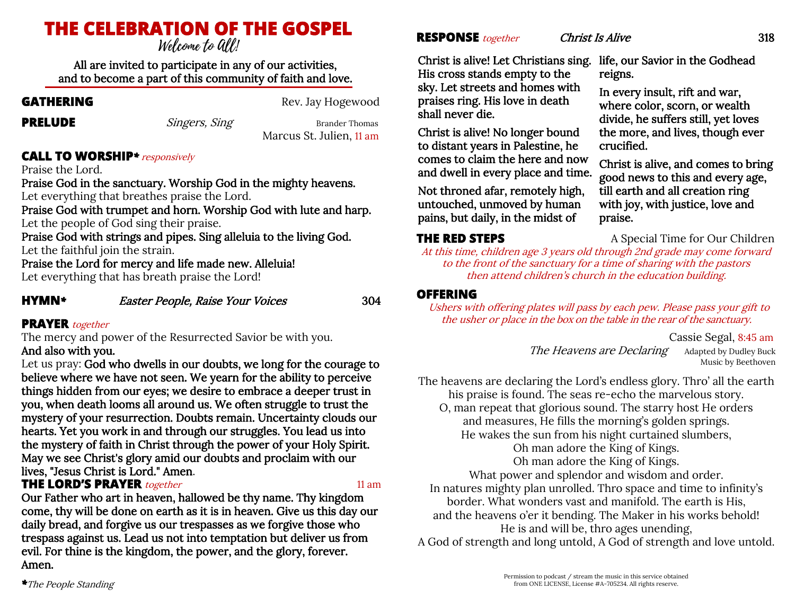# **THE CELEBRATION OF THE GOSPEL**

All are invited to participate in any of our activities, and to become a part of this community of faith and love.

**GATHERING** Rev. Jay Hogewood

**PRELUDE** Singers, Sing Brander Thomas Marcus St. Julien, 11 am

#### **CALL TO WORSHIP***\**responsively

Praise the Lord.

Praise God in the sanctuary. Worship God in the mighty heavens. Let everything that breathes praise the Lord.

Praise God with trumpet and horn. Worship God with lute and harp. Let the people of God sing their praise.

Praise God with strings and pipes. Sing alleluia to the living God. Let the faithful join the strain.

Praise the Lord for mercy and life made new. Alleluia! Let everything that has breath praise the Lord!

**HYMN***\** Easter People, Raise Your Voices 304

#### **PRAYER** together

The mercy and power of the Resurrected Savior be with you. And also with you.

Let us pray: God who dwells in our doubts, we long for the courage to believe where we have not seen. We yearn for the ability to perceive things hidden from our eyes; we desire to embrace a deeper trust in you, when death looms all around us. We often struggle to trust the mystery of your resurrection. Doubts remain. Uncertainty clouds our hearts. Yet you work in and through our struggles. You lead us into the mystery of faith in Christ through the power of your Holy Spirit. May we see Christ's glory amid our doubts and proclaim with our lives, "Jesus Christ is Lord." Amen.

#### **THE LORD'S PRAYER** *together* 11 am **11 am**

Our Father who art in heaven, hallowed be thy name. Thy kingdom come, thy will be done on earth as it is in heaven. Give us this day our daily bread, and forgive us our trespasses as we forgive those who trespass against us. Lead us not into temptation but deliver us from evil. For thine is the kingdom, the power, and the glory, forever. Amen.

#### **RESPONSE** *together Christ Is Alive* 318

Christ is alive! Let Christians sing. His cross stands empty to the sky. Let streets and homes with praises ring. His love in death

Christ is alive! No longer bound to distant years in Palestine, he comes to claim the here and now and dwell in every place and time. Not throned afar, remotely high, untouched, unmoved by human pains, but daily, in the midst of

life, our Savior in the Godhead reigns.

In every insult, rift and war, where color, scorn, or wealth divide, he suffers still, yet loves the more, and lives, though ever crucified.

Christ is alive, and comes to bring good news to this and every age, till earth and all creation ring with joy, with justice, love and praise.

### **THE RED STEPS** A Special Time for Our Children

shall never die.

At this time, children age 3 years old through 2nd grade may come forward to the front of the sanctuary for a time of sharing with the pastors then attend children's church in the education building.

#### **OFFERING**

Ushers with offering plates will pass by each pew. Please pass your gift to the usher or place in the box on the table in the rear of the sanctuary.

Cassie Segal, 8:45 am

The Heavens are Declaring Adapted by Dudley Buck Music by Beethoven

The heavens are declaring the Lord's endless glory. Thro' all the earth his praise is found. The seas re-echo the marvelous story. O, man repeat that glorious sound. The starry host He orders and measures, He fills the morning's golden springs. He wakes the sun from his night curtained slumbers, Oh man adore the King of Kings. Oh man adore the King of Kings. What power and splendor and wisdom and order. In natures mighty plan unrolled. Thro space and time to infinity's border. What wonders vast and manifold. The earth is His, and the heavens o'er it bending. The Maker in his works behold! He is and will be, thro ages unending, A God of strength and long untold, A God of strength and love untold.

Permission to podcast / stream the music in this service obtained from ONE LICENSE, License #A-705234. All rights reserve.